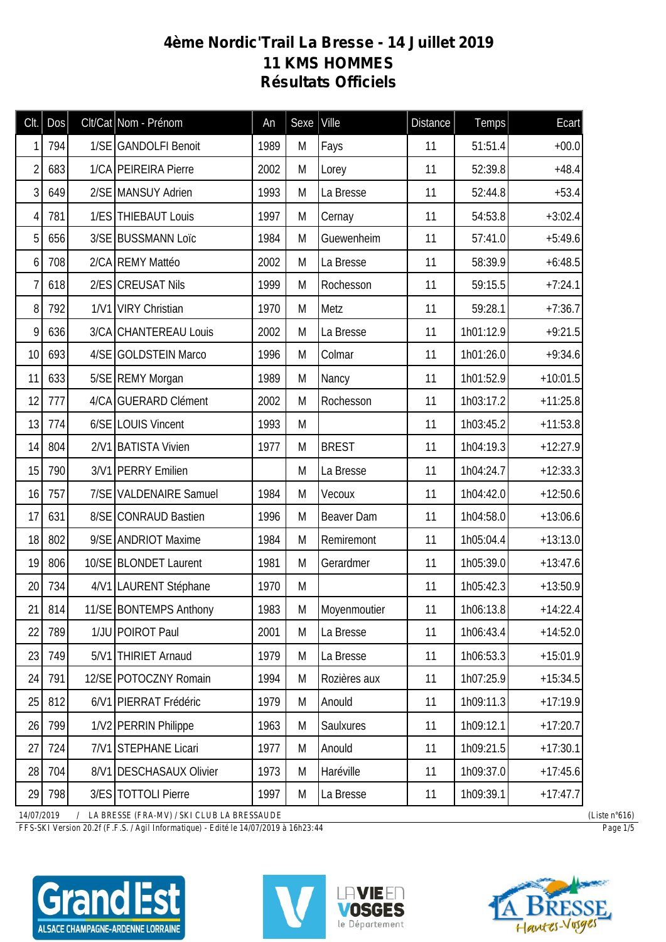## **4ème Nordic'Trail La Bresse - 14 Juillet 2019 11 KMS HOMMES Résultats Officiels**

| Clt.           | Dos | Clt/Cat Nom - Prénom    | An   | Sexe | Ville        | <b>Distance</b> | <b>Temps</b> | Ecart      |
|----------------|-----|-------------------------|------|------|--------------|-----------------|--------------|------------|
| 1              | 794 | 1/SE GANDOLFI Benoit    | 1989 | M    | Fays         | 11              | 51:51.4      | $+00.0$    |
| $\overline{2}$ | 683 | 1/CA PEIREIRA Pierre    | 2002 | M    | Lorey        | 11              | 52:39.8      | $+48.4$    |
| 3              | 649 | 2/SE MANSUY Adrien      | 1993 | M    | La Bresse    | 11              | 52:44.8      | $+53.4$    |
| 4              | 781 | 1/ES THIEBAUT Louis     | 1997 | M    | Cernay       | 11              | 54:53.8      | $+3:02.4$  |
| 5              | 656 | 3/SE BUSSMANN Loïc      | 1984 | M    | Guewenheim   | 11              | 57:41.0      | $+5:49.6$  |
| 6              | 708 | 2/CA REMY Mattéo        | 2002 | M    | La Bresse    | 11              | 58:39.9      | $+6:48.5$  |
| 7              | 618 | 2/ES CREUSAT Nils       | 1999 | M    | Rochesson    | 11              | 59:15.5      | $+7:24.1$  |
| 8              | 792 | 1/V1 VIRY Christian     | 1970 | M    | Metz         | 11              | 59:28.1      | $+7:36.7$  |
| 9              | 636 | 3/CA CHANTEREAU Louis   | 2002 | M    | La Bresse    | 11              | 1h01:12.9    | $+9:21.5$  |
| 10             | 693 | 4/SE GOLDSTEIN Marco    | 1996 | M    | Colmar       | 11              | 1h01:26.0    | $+9:34.6$  |
| 11             | 633 | 5/SE REMY Morgan        | 1989 | M    | Nancy        | 11              | 1h01:52.9    | $+10:01.5$ |
| 12             | 777 | 4/CA GUERARD Clément    | 2002 | M    | Rochesson    | 11              | 1h03:17.2    | $+11:25.8$ |
| 13             | 774 | 6/SE LOUIS Vincent      | 1993 | M    |              | 11              | 1h03:45.2    | $+11:53.8$ |
| 14             | 804 | 2/V1 BATISTA Vivien     | 1977 | M    | <b>BREST</b> | 11              | 1h04:19.3    | $+12:27.9$ |
| 15             | 790 | 3/V1 PERRY Emilien      |      | M    | La Bresse    | 11              | 1h04:24.7    | $+12:33.3$ |
| 16             | 757 | 7/SE VALDENAIRE Samuel  | 1984 | M    | Vecoux       | 11              | 1h04:42.0    | $+12:50.6$ |
| 17             | 631 | 8/SE CONRAUD Bastien    | 1996 | M    | Beaver Dam   | 11              | 1h04:58.0    | $+13:06.6$ |
| 18             | 802 | 9/SE ANDRIOT Maxime     | 1984 | M    | Remiremont   | 11              | 1h05:04.4    | $+13:13.0$ |
| 19             | 806 | 10/SE BLONDET Laurent   | 1981 | M    | Gerardmer    | 11              | 1h05:39.0    | $+13:47.6$ |
| 20             | 734 | 4/V1 LAURENT Stéphane   | 1970 | M    |              | 11              | 1h05:42.3    | $+13:50.9$ |
| 21             | 814 | 11/SE BONTEMPS Anthony  | 1983 | M    | Moyenmoutier | 11              | 1h06:13.8    | $+14:22.4$ |
| 22             | 789 | 1/JU POIROT Paul        | 2001 | M    | La Bresse    | 11              | 1h06:43.4    | $+14:52.0$ |
| 23             | 749 | 5/V1 THIRIET Arnaud     | 1979 | M    | La Bresse    | 11              | 1h06:53.3    | $+15:01.9$ |
| 24             | 791 | 12/SE POTOCZNY Romain   | 1994 | M    | Rozières aux | 11              | 1h07:25.9    | $+15:34.5$ |
| 25             | 812 | 6/V1 PIERRAT Frédéric   | 1979 | M    | Anould       | 11              | 1h09:11.3    | $+17:19.9$ |
| 26             | 799 | 1/V2 PERRIN Philippe    | 1963 | M    | Saulxures    | 11              | 1h09:12.1    | $+17:20.7$ |
| 27             | 724 | 7/V1 STEPHANE Licari    | 1977 | M    | Anould       | 11              | 1h09:21.5    | $+17:30.1$ |
| 28             | 704 | 8/V1 DESCHASAUX Olivier | 1973 | M    | Haréville    | 11              | 1h09:37.0    | $+17:45.6$ |
| 29             | 798 | 3/ES TOTTOLI Pierre     | 1997 | M    | La Bresse    | 11              | 1h09:39.1    | $+17:47.7$ |

*14/07/2019 / LA BRESSE (FRA-MV) / SKI CLUB LA BRESSAUDE (Liste n°616)*

*FFS-SKI Version 20.2f (F.F.S. / Agil Informatique) - Edité le 14/07/2019 à 16h23:44 Page 1/5*

ALSACE CHAMPAGNE-ARDENNE LORRAINE





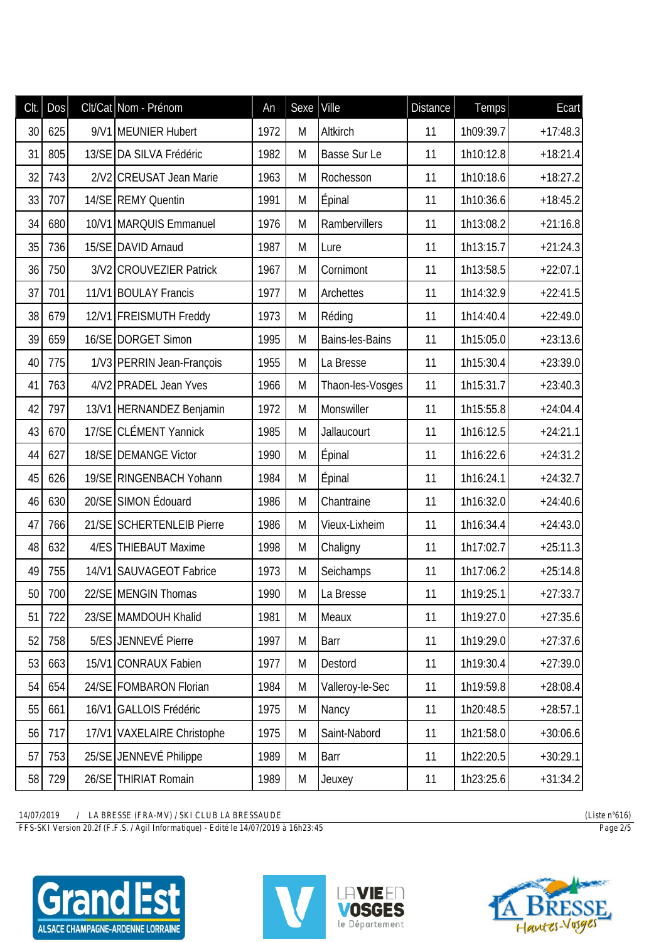| CIt. | Dos |       | Clt/Cat Nom - Prénom       | An   | Sexe      | Ville            | <b>Distance</b> | Temps     | Ecart      |
|------|-----|-------|----------------------------|------|-----------|------------------|-----------------|-----------|------------|
| 30   | 625 |       | 9/V1 MEUNIER Hubert        | 1972 | M         | Altkirch         | 11              | 1h09:39.7 | $+17:48.3$ |
| 31   | 805 |       | 13/SE DA SILVA Frédéric    | 1982 | M         | Basse Sur Le     | 11              | 1h10:12.8 | $+18:21.4$ |
| 32   | 743 |       | 2/V2 CREUSAT Jean Marie    | 1963 | M         | Rochesson        | 11              | 1h10:18.6 | $+18:27.2$ |
| 33   | 707 |       | 14/SE REMY Quentin         | 1991 | M         | Épinal           | 11              | 1h10:36.6 | $+18:45.2$ |
| 34   | 680 |       | 10/V1 MARQUIS Emmanuel     | 1976 | M         | Rambervillers    | 11              | 1h13:08.2 | $+21:16.8$ |
| 35   | 736 |       | 15/SE DAVID Arnaud         | 1987 | M         | Lure             | 11              | 1h13:15.7 | $+21:24.3$ |
| 36   | 750 |       | 3/V2 CROUVEZIER Patrick    | 1967 | M         | Cornimont        | 11              | 1h13:58.5 | $+22:07.1$ |
| 37   | 701 |       | 11/V1 BOULAY Francis       | 1977 | M         | Archettes        | 11              | 1h14:32.9 | $+22:41.5$ |
| 38   | 679 |       | 12/V1 FREISMUTH Freddy     | 1973 | M         | Réding           | 11              | 1h14:40.4 | $+22:49.0$ |
| 39   | 659 |       | 16/SE DORGET Simon         | 1995 | M         | Bains-les-Bains  | 11              | 1h15:05.0 | $+23:13.6$ |
| 40   | 775 |       | 1/V3 PERRIN Jean-François  | 1955 | M         | La Bresse        | 11              | 1h15:30.4 | $+23:39.0$ |
| 41   | 763 |       | 4/V2 PRADEL Jean Yves      | 1966 | M         | Thaon-les-Vosges | 11              | 1h15:31.7 | $+23:40.3$ |
| 42   | 797 |       | 13/V1 HERNANDEZ Benjamin   | 1972 | M         | Monswiller       | 11              | 1h15:55.8 | $+24:04.4$ |
| 43   | 670 |       | 17/SE CLÉMENT Yannick      | 1985 | M         | Jallaucourt      | 11              | 1h16:12.5 | $+24:21.1$ |
| 44   | 627 |       | 18/SE DEMANGE Victor       | 1990 | M         | Épinal           | 11              | 1h16:22.6 | $+24:31.2$ |
| 45   | 626 |       | 19/SE RINGENBACH Yohann    | 1984 | M         | <b>Épinal</b>    | 11              | 1h16:24.1 | $+24:32.7$ |
| 46   | 630 |       | 20/SE SIMON Édouard        | 1986 | M         | Chantraine       | 11              | 1h16:32.0 | $+24:40.6$ |
| 47   | 766 |       | 21/SE SCHERTENLEIB Pierre  | 1986 | M         | Vieux-Lixheim    | 11              | 1h16:34.4 | $+24:43.0$ |
| 48   | 632 |       | 4/ES THIEBAUT Maxime       | 1998 | M         | Chaligny         | 11              | 1h17:02.7 | $+25:11.3$ |
| 49   | 755 |       | 14/V1 SAUVAGEOT Fabrice    | 1973 | M         | Seichamps        | 11              | 1h17:06.2 | $+25:14.8$ |
| 50   | 700 |       | 22/SE MENGIN Thomas        | 1990 | M         | La Bresse        | 11              | 1h19:25.1 | $+27:33.7$ |
| 51   | 722 |       | 23/SE MAMDOUH Khalid       | 1981 | M         | Meaux            | 11              | 1h19:27.0 | $+27:35.6$ |
| 52   | 758 |       | 5/ES JENNEVÉ Pierre        | 1997 | M         | Barr             | 11              | 1h19:29.0 | $+27:37.6$ |
| 53   | 663 | 15/N1 | <b>CONRAUX Fabien</b>      | 1977 | M         | Destord          | 11              | 1h19:30.4 | $+27:39.0$ |
| 54   | 654 |       | 24/SE FOMBARON Florian     | 1984 | M         | Valleroy-le-Sec  | 11              | 1h19:59.8 | $+28:08.4$ |
| 55   | 661 | 16/N1 | GALLOIS Frédéric           | 1975 | M         | Nancy            | 11              | 1h20:48.5 | $+28:57.1$ |
| 56   | 717 |       | 17/V1 VAXELAIRE Christophe | 1975 | ${\sf M}$ | Saint-Nabord     | 11              | 1h21:58.0 | $+30:06.6$ |
| 57   | 753 |       | 25/SE JENNEVÉ Philippe     | 1989 | M         | Barr             | 11              | 1h22:20.5 | $+30:29.1$ |
| 58   | 729 |       | 26/SE THIRIAT Romain       | 1989 | M         | Jeuxey           | 11              | 1h23:25.6 | $+31:34.2$ |

*FFS-SKI Version 20.2f (F.F.S. / Agil Informatique) - Edité le 14/07/2019 à 16h23:45 Page 2/5*





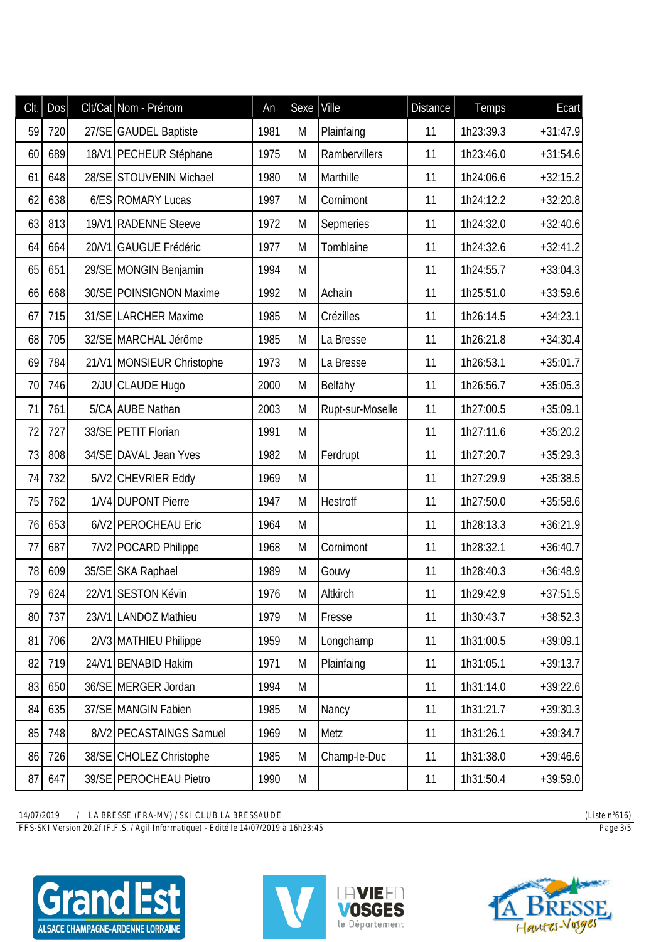| Clt. | Dos |       | Clt/Cat Nom - Prénom      | An   | Sexe | Ville            | <b>Distance</b> | <b>Temps</b> | Ecart      |
|------|-----|-------|---------------------------|------|------|------------------|-----------------|--------------|------------|
| 59   | 720 |       | 27/SE GAUDEL Baptiste     | 1981 | М    | Plainfaing       | 11              | 1h23:39.3    | $+31:47.9$ |
| 60   | 689 |       | 18/V1 PECHEUR Stéphane    | 1975 | M    | Rambervillers    | 11              | 1h23:46.0    | $+31:54.6$ |
| 61   | 648 |       | 28/SE STOUVENIN Michael   | 1980 | M    | Marthille        | 11              | 1h24:06.6    | $+32:15.2$ |
| 62   | 638 |       | 6/ES ROMARY Lucas         | 1997 | M    | Cornimont        | 11              | 1h24:12.2    | $+32:20.8$ |
| 63   | 813 |       | 19/V1 RADENNE Steeve      | 1972 | M    | Sepmeries        | 11              | 1h24:32.0    | $+32:40.6$ |
| 64   | 664 | 20/V1 | <b>GAUGUE Frédéric</b>    | 1977 | M    | Tomblaine        | 11              | 1h24:32.6    | $+32:41.2$ |
| 65   | 651 |       | 29/SE MONGIN Benjamin     | 1994 | M    |                  | 11              | 1h24:55.7    | $+33:04.3$ |
| 66   | 668 |       | 30/SE POINSIGNON Maxime   | 1992 | M    | Achain           | 11              | 1h25:51.0    | $+33:59.6$ |
| 67   | 715 |       | 31/SE LARCHER Maxime      | 1985 | M    | Crézilles        | 11              | 1h26:14.5    | $+34:23.1$ |
| 68   | 705 |       | 32/SE MARCHAL Jérôme      | 1985 | M    | La Bresse        | 11              | 1h26:21.8    | $+34:30.4$ |
| 69   | 784 |       | 21/V1 MONSIEUR Christophe | 1973 | M    | La Bresse        | 11              | 1h26:53.1    | $+35:01.7$ |
| 70   | 746 |       | 2/JU CLAUDE Hugo          | 2000 | M    | Belfahy          | 11              | 1h26:56.7    | $+35:05.3$ |
| 71   | 761 |       | 5/CA AUBE Nathan          | 2003 | M    | Rupt-sur-Moselle | 11              | 1h27:00.5    | $+35:09.1$ |
| 72   | 727 |       | 33/SE PETIT Florian       | 1991 | M    |                  | 11              | 1h27:11.6    | $+35:20.2$ |
| 73   | 808 |       | 34/SE DAVAL Jean Yves     | 1982 | M    | Ferdrupt         | 11              | 1h27:20.7    | $+35:29.3$ |
| 74   | 732 |       | 5/V2 CHEVRIER Eddy        | 1969 | M    |                  | 11              | 1h27:29.9    | $+35:38.5$ |
| 75   | 762 |       | 1/V4 DUPONT Pierre        | 1947 | M    | Hestroff         | 11              | 1h27:50.0    | $+35:58.6$ |
| 76   | 653 |       | 6/V2 PEROCHEAU Eric       | 1964 | M    |                  | 11              | 1h28:13.3    | $+36:21.9$ |
| 77   | 687 |       | 7/V2 POCARD Philippe      | 1968 | M    | Cornimont        | 11              | 1h28:32.1    | $+36:40.7$ |
| 78   | 609 |       | 35/SE SKA Raphael         | 1989 | M    | Gouvy            | 11              | 1h28:40.3    | $+36:48.9$ |
| 79   | 624 |       | 22/V1 SESTON Kévin        | 1976 | M    | Altkirch         | 11              | 1h29:42.9    | $+37:51.5$ |
| 80   | 737 |       | 23/V1 LANDOZ Mathieu      | 1979 | M    | Fresse           | 11              | 1h30:43.7    | $+38:52.3$ |
| 81   | 706 |       | 2/V3 MATHIEU Philippe     | 1959 | M    | Longchamp        | 11              | 1h31:00.5    | $+39:09.1$ |
| 82   | 719 |       | 24/V1 BENABID Hakim       | 1971 | M    | Plainfaing       | 11              | 1h31:05.1    | $+39:13.7$ |
| 83   | 650 |       | 36/SE MERGER Jordan       | 1994 | M    |                  | 11              | 1h31:14.0    | $+39:22.6$ |
| 84   | 635 |       | 37/SE MANGIN Fabien       | 1985 | M    | Nancy            | 11              | 1h31:21.7    | $+39:30.3$ |
| 85   | 748 |       | 8/V2 PECASTAINGS Samuel   | 1969 | M    | Metz             | 11              | 1h31:26.1    | $+39:34.7$ |
| 86   | 726 |       | 38/SE CHOLEZ Christophe   | 1985 | M    | Champ-le-Duc     | 11              | 1h31:38.0    | $+39:46.6$ |
| 87   | 647 |       | 39/SE PEROCHEAU Pietro    | 1990 | M    |                  | 11              | 1h31:50.4    | $+39:59.0$ |

*FFS-SKI Version 20.2f (F.F.S. / Agil Informatique) - Edité le 14/07/2019 à 16h23:45 Page 3/5*





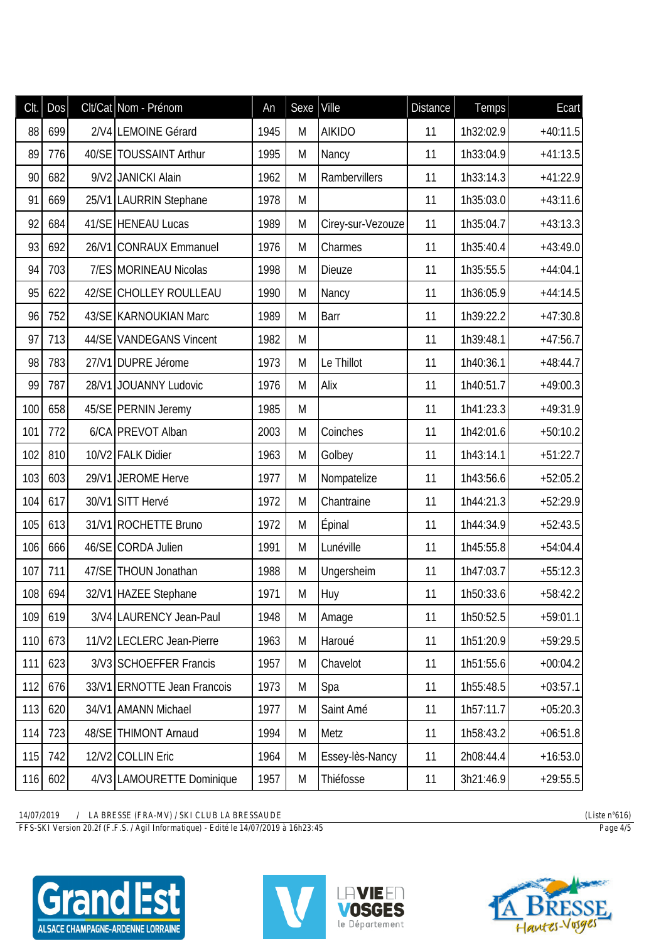| CIt. | Dos | Clt/Cat Nom - Prénom        | An   | Sexe   Ville |                   | <b>Distance</b> | Temps     | Ecart      |
|------|-----|-----------------------------|------|--------------|-------------------|-----------------|-----------|------------|
| 88   | 699 | 2/V4 LEMOINE Gérard         | 1945 | M            | <b>AIKIDO</b>     | 11              | 1h32:02.9 | $+40:11.5$ |
| 89   | 776 | 40/SE TOUSSAINT Arthur      | 1995 | M            | Nancy             | 11              | 1h33:04.9 | $+41:13.5$ |
| 90   | 682 | 9/V2 JANICKI Alain          | 1962 | M            | Rambervillers     | 11              | 1h33:14.3 | $+41:22.9$ |
| 91   | 669 | 25/V1 LAURRIN Stephane      | 1978 | M            |                   | 11              | 1h35:03.0 | $+43:11.6$ |
| 92   | 684 | 41/SE HENEAU Lucas          | 1989 | M            | Cirey-sur-Vezouze | 11              | 1h35:04.7 | $+43:13.3$ |
| 93   | 692 | 26/V1 CONRAUX Emmanuel      | 1976 | M            | Charmes           | 11              | 1h35:40.4 | $+43:49.0$ |
| 94   | 703 | 7/ES MORINEAU Nicolas       | 1998 | M            | <b>Dieuze</b>     | 11              | 1h35:55.5 | $+44:04.1$ |
| 95   | 622 | 42/SE CHOLLEY ROULLEAU      | 1990 | M            | Nancy             | 11              | 1h36:05.9 | $+44:14.5$ |
| 96   | 752 | 43/SE KARNOUKIAN Marc       | 1989 | M            | Barr              | 11              | 1h39:22.2 | $+47:30.8$ |
| 97   | 713 | 44/SE VANDEGANS Vincent     | 1982 | M            |                   | 11              | 1h39:48.1 | $+47:56.7$ |
| 98   | 783 | 27/V1 DUPRE Jérome          | 1973 | M            | Le Thillot        | 11              | 1h40:36.1 | $+48:44.7$ |
| 99   | 787 | 28/V1 JOUANNY Ludovic       | 1976 | M            | Alix              | 11              | 1h40:51.7 | $+49:00.3$ |
| 100  | 658 | 45/SE PERNIN Jeremy         | 1985 | M            |                   | 11              | 1h41:23.3 | $+49:31.9$ |
| 101  | 772 | 6/CA PREVOT Alban           | 2003 | M            | Coinches          | 11              | 1h42:01.6 | $+50:10.2$ |
| 102  | 810 | 10/V2 FALK Didier           | 1963 | M            | Golbey            | 11              | 1h43:14.1 | $+51:22.7$ |
| 103  | 603 | 29/V1 JEROME Herve          | 1977 | M            | Nompatelize       | 11              | 1h43:56.6 | $+52:05.2$ |
| 104  | 617 | 30/V1 SITT Hervé            | 1972 | M            | Chantraine        | 11              | 1h44:21.3 | $+52:29.9$ |
| 105  | 613 | 31/V1 ROCHETTE Bruno        | 1972 | M            | Épinal            | 11              | 1h44:34.9 | $+52:43.5$ |
| 106  | 666 | 46/SE CORDA Julien          | 1991 | M            | Lunéville         | 11              | 1h45:55.8 | $+54:04.4$ |
| 107  | 711 | 47/SE THOUN Jonathan        | 1988 | M            | Ungersheim        | 11              | 1h47:03.7 | $+55:12.3$ |
| 108  | 694 | 32/V1 HAZEE Stephane        | 1971 | М            | Huy               | 11              | 1h50:33.6 | $+58:42.2$ |
| 109  | 619 | 3/V4 LAURENCY Jean-Paul     | 1948 | M            | Amage             | 11              | 1h50:52.5 | $+59:01.1$ |
| 110  | 673 | 11/V2 LECLERC Jean-Pierre   | 1963 | M            | Haroué            | 11              | 1h51:20.9 | $+59:29.5$ |
| 111  | 623 | 3/V3 SCHOEFFER Francis      | 1957 | M            | Chavelot          | 11              | 1h51:55.6 | $+00:04.2$ |
| 112  | 676 | 33/V1 ERNOTTE Jean Francois | 1973 | M            | Spa               | 11              | 1h55:48.5 | $+03:57.1$ |
| 113  | 620 | 34/V1 AMANN Michael         | 1977 | M            | Saint Amé         | 11              | 1h57:11.7 | $+05:20.3$ |
| 114  | 723 | 48/SE THIMONT Arnaud        | 1994 | M            | Metz              | 11              | 1h58:43.2 | $+06:51.8$ |
| 115  | 742 | 12/V2 COLLIN Eric           | 1964 | M            | Essey-lès-Nancy   | 11              | 2h08:44.4 | $+16:53.0$ |
| 116  | 602 | 4/V3 LAMOURETTE Dominique   | 1957 | M            | Thiéfosse         | 11              | 3h21:46.9 | $+29:55.5$ |

*FFS-SKI Version 20.2f (F.F.S. / Agil Informatique) - Edité le 14/07/2019 à 16h23:45 Page 4/5*